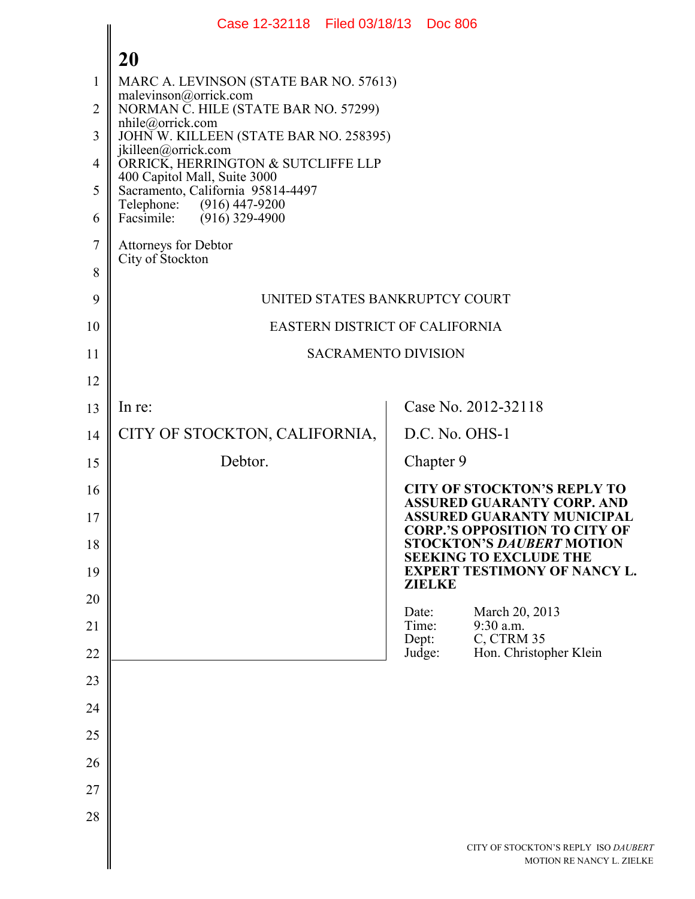|                | Case 12-32118 Filed 03/18/13 Doc 806                              |                |                |                                                                           |
|----------------|-------------------------------------------------------------------|----------------|----------------|---------------------------------------------------------------------------|
|                | 20                                                                |                |                |                                                                           |
| 1              | MARC A. LEVINSON (STATE BAR NO. 57613)                            |                |                |                                                                           |
| $\overline{2}$ | malevinson@orrick.com<br>NORMAN C. HILE (STATE BAR NO. 57299)     |                |                |                                                                           |
| 3              | nhile@orrick.com<br>JOHN W. KILLEEN (STATE BAR NO. 258395)        |                |                |                                                                           |
| $\overline{4}$ | jkilleen@orrick.com<br>ORRICK, HERRINGTON & SUTCLIFFE LLP         |                |                |                                                                           |
| 5              | 400 Capitol Mall, Suite 3000<br>Sacramento, California 95814-4497 |                |                |                                                                           |
| 6              | Telephone: (916) 447-9200<br>Facsimile:<br>$(916)$ 329-4900       |                |                |                                                                           |
| $\overline{7}$ | <b>Attorneys for Debtor</b>                                       |                |                |                                                                           |
| 8              | City of Stockton                                                  |                |                |                                                                           |
| 9              | UNITED STATES BANKRUPTCY COURT                                    |                |                |                                                                           |
| 10             | EASTERN DISTRICT OF CALIFORNIA                                    |                |                |                                                                           |
| 11             | <b>SACRAMENTO DIVISION</b>                                        |                |                |                                                                           |
| 12             |                                                                   |                |                |                                                                           |
| 13             | In re:                                                            |                |                | Case No. 2012-32118                                                       |
| 14             | CITY OF STOCKTON, CALIFORNIA,                                     |                | D.C. No. OHS-1 |                                                                           |
| 15             | Debtor.                                                           |                | Chapter 9      |                                                                           |
| 16             |                                                                   |                |                | <b>CITY OF STOCKTON'S REPLY TO</b><br><b>ASSURED GUARANTY CORP. AND</b>   |
| 17             |                                                                   |                |                | <b>ASSURED GUARANTY MUNICIPAL</b><br><b>CORP.'S OPPOSITION TO CITY OF</b> |
| 18             |                                                                   |                |                | <b>STOCKTON'S DAUBERT MOTION</b><br><b>SEEKING TO EXCLUDE THE</b>         |
| 19             |                                                                   |                | <b>ZIELKE</b>  | <b>EXPERT TESTIMONY OF NANCY L.</b>                                       |
| 20             |                                                                   | Date:          |                | March 20, 2013                                                            |
| 21             |                                                                   | Time:<br>Dept: |                | 9:30 a.m.<br>C, CTRM 35                                                   |
| 22             |                                                                   | Judge:         |                | Hon. Christopher Klein                                                    |
| 23             |                                                                   |                |                |                                                                           |
| 24             |                                                                   |                |                |                                                                           |
| 25             |                                                                   |                |                |                                                                           |
| 26             |                                                                   |                |                |                                                                           |
| 27             |                                                                   |                |                |                                                                           |
| 28             |                                                                   |                |                |                                                                           |
|                |                                                                   |                |                | CITY OF STOCKTON'S REPLY ISO DAUBERT<br>MOTION RE NANCY L. ZIELKE         |
|                |                                                                   |                |                |                                                                           |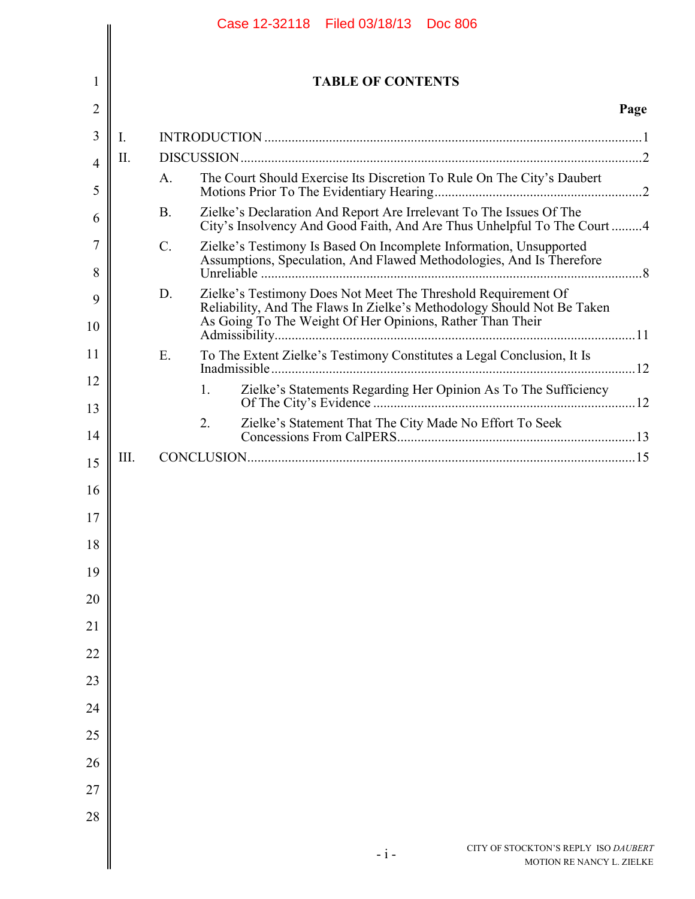|          |             | Case 12-32118 Filed 03/18/13<br><b>Doc 806</b>                                                                                                                                                             |      |
|----------|-------------|------------------------------------------------------------------------------------------------------------------------------------------------------------------------------------------------------------|------|
|          |             |                                                                                                                                                                                                            |      |
| 1        |             | <b>TABLE OF CONTENTS</b>                                                                                                                                                                                   |      |
| 2        |             |                                                                                                                                                                                                            | Page |
| 3        | $I_{\cdot}$ |                                                                                                                                                                                                            |      |
| 4        | Π.          |                                                                                                                                                                                                            |      |
| 5        |             | The Court Should Exercise Its Discretion To Rule On The City's Daubert<br>$A_{\cdot}$                                                                                                                      |      |
| 6        |             | Zielke's Declaration And Report Are Irrelevant To The Issues Of The<br><b>B</b> .<br>City's Insolvency And Good Faith, And Are Thus Unhelpful To The Court4                                                |      |
| 7<br>8   |             | $\mathcal{C}$ .<br>Zielke's Testimony Is Based On Incomplete Information, Unsupported<br>Assumptions, Speculation, And Flawed Methodologies, And Is Therefore                                              |      |
| 9<br>10  |             | Zielke's Testimony Does Not Meet The Threshold Requirement Of<br>D.<br>Reliability, And The Flaws In Zielke's Methodology Should Not Be Taken<br>As Going To The Weight Of Her Opinions, Rather Than Their |      |
| 11       |             | Ε.<br>To The Extent Zielke's Testimony Constitutes a Legal Conclusion, It Is                                                                                                                               |      |
| 12       |             | Zielke's Statements Regarding Her Opinion As To The Sufficiency<br>$1_{\cdot}$                                                                                                                             |      |
| 13       |             | 2.                                                                                                                                                                                                         |      |
| 14       | III.        |                                                                                                                                                                                                            |      |
| 15       |             |                                                                                                                                                                                                            |      |
| 16<br>17 |             |                                                                                                                                                                                                            |      |
| 18       |             |                                                                                                                                                                                                            |      |
| 19       |             |                                                                                                                                                                                                            |      |
| 20       |             |                                                                                                                                                                                                            |      |
| 21       |             |                                                                                                                                                                                                            |      |
| 22       |             |                                                                                                                                                                                                            |      |
| 23       |             |                                                                                                                                                                                                            |      |
| 24       |             |                                                                                                                                                                                                            |      |
| 25       |             |                                                                                                                                                                                                            |      |
| 26       |             |                                                                                                                                                                                                            |      |
| 27       |             |                                                                                                                                                                                                            |      |
| 28       |             |                                                                                                                                                                                                            |      |
|          |             |                                                                                                                                                                                                            |      |
|          |             | CITY OF STOCKTON'S REPLY ISO DAUBERT<br>$-i-$<br>MOTION RE NANCY L. ZIELKE                                                                                                                                 |      |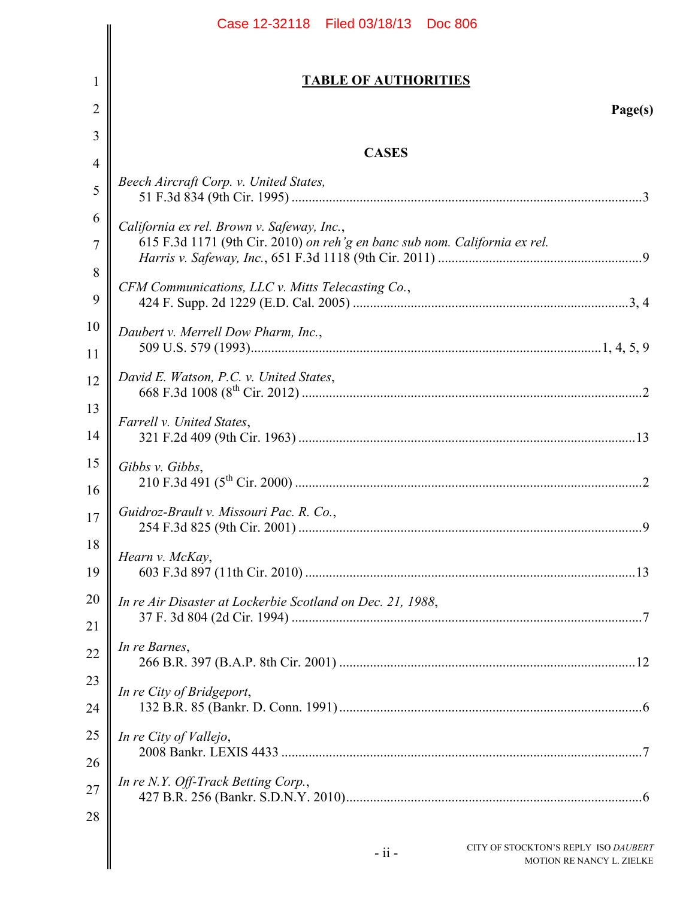|                | Case 12-32118 Filed 03/18/13 Doc 806                                         |
|----------------|------------------------------------------------------------------------------|
| 1              | <b>TABLE OF AUTHORITIES</b>                                                  |
|                |                                                                              |
| $\overline{2}$ | Page(s)                                                                      |
| 3              | <b>CASES</b>                                                                 |
| 4              | Beech Aircraft Corp. v. United States,                                       |
| 5              |                                                                              |
| 6              | California ex rel. Brown v. Safeway, Inc.,                                   |
| 7              | 615 F.3d 1171 (9th Cir. 2010) on reh'g en banc sub nom. California ex rel.   |
| 8              | CFM Communications, LLC v. Mitts Telecasting Co.,                            |
| 9              |                                                                              |
| 10             | Daubert v. Merrell Dow Pharm, Inc.,                                          |
| 11             |                                                                              |
| 12             | David E. Watson, P.C. v. United States,                                      |
| 13             | Farrell v. United States,                                                    |
| 14             |                                                                              |
| 15             | Gibbs v. Gibbs,                                                              |
| 16             |                                                                              |
| 17             | Guidroz-Brault v. Missouri Pac. R. Co.,                                      |
| 18             | Hearn v. McKay,                                                              |
| 19             |                                                                              |
| 20             | In re Air Disaster at Lockerbie Scotland on Dec. 21, 1988,                   |
| 21             |                                                                              |
| 22             | In re Barnes,                                                                |
| 23             | In re City of Bridgeport,                                                    |
| 24             |                                                                              |
| 25             | In re City of Vallejo,                                                       |
| 26             |                                                                              |
| 27             | In re N.Y. Off-Track Betting Corp.,                                          |
| 28             |                                                                              |
|                | CITY OF STOCKTON'S REPLY ISO DAUBERT<br>$-ii -$<br>MOTION RE NANCY L. ZIELKE |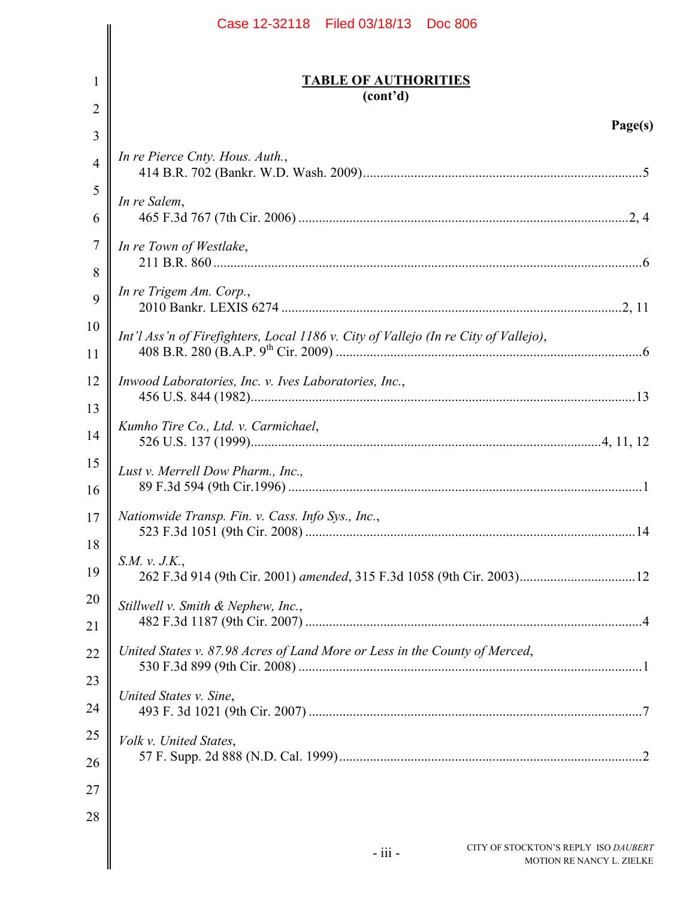|                | Case 12-32118 Filed 03/18/13 Doc 806                                                |                           |
|----------------|-------------------------------------------------------------------------------------|---------------------------|
| 1              | <b>TABLE OF AUTHORITIES</b>                                                         |                           |
| $\overline{2}$ | (cont'd)                                                                            |                           |
| 3              |                                                                                     | Page(s)                   |
| $\overline{4}$ | In re Pierce Cnty. Hous. Auth.,                                                     |                           |
| 5<br>6         | In re Salem,                                                                        |                           |
| $\tau$<br>8    | In re Town of Westlake,                                                             |                           |
| 9              | In re Trigem Am. Corp.,                                                             |                           |
| 10<br>11       | Int'l Ass'n of Firefighters, Local 1186 v. City of Vallejo (In re City of Vallejo), |                           |
| 12<br>13       | Inwood Laboratories, Inc. v. Ives Laboratories, Inc.,                               |                           |
| 14             | Kumho Tire Co., Ltd. v. Carmichael,                                                 |                           |
| 15<br>16       | Lust v. Merrell Dow Pharm., Inc.,                                                   |                           |
| 17<br>18       | Nationwide Transp. Fin. v. Cass. Info Sys., Inc.,                                   |                           |
| 19             | S.M. v. J.K.,                                                                       |                           |
| 20<br>21       | Stillwell v. Smith & Nephew, Inc.,                                                  |                           |
| 22<br>23       | United States v. 87.98 Acres of Land More or Less in the County of Merced,          |                           |
| 24             | United States v. Sine,                                                              |                           |
| 25<br>26       | Volk v. United States,                                                              |                           |
| 27             |                                                                                     |                           |
| 28             | CITY OF STOCKTON'S REPLY ISO DAUBERT<br>$-$ iii $-$                                 | MOTION RE NANCY L. ZIELKE |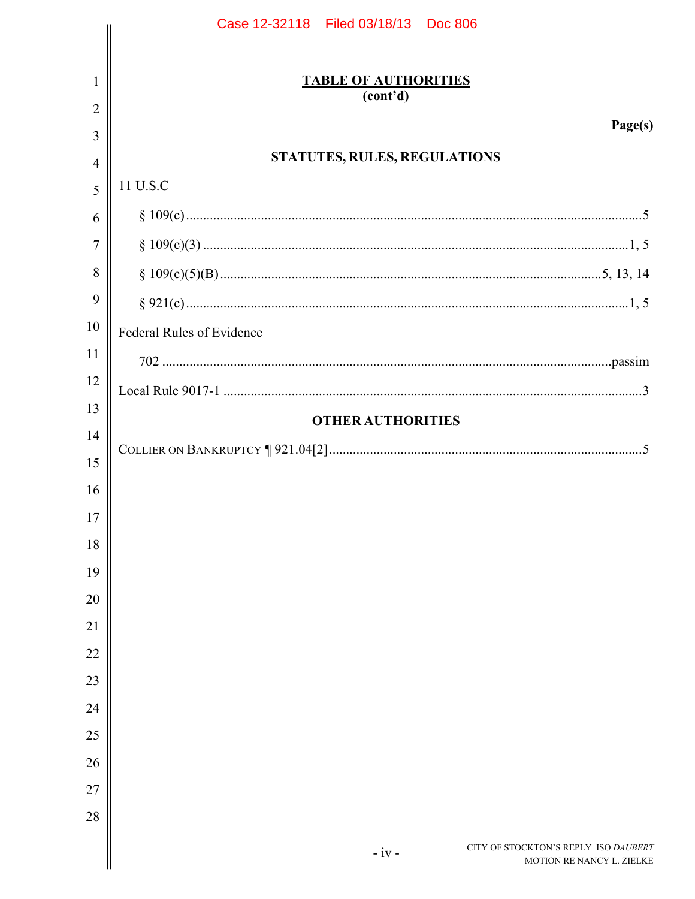|                     | Case 12-32118   Filed 03/18/13   Doc 806                                     |
|---------------------|------------------------------------------------------------------------------|
|                     |                                                                              |
| 1                   | <b>TABLE OF AUTHORITIES</b><br>(cont'd)                                      |
| $\overline{2}$      | Page(s)                                                                      |
| 3                   | STATUTES, RULES, REGULATIONS                                                 |
| $\overline{4}$<br>5 | 11 U.S.C                                                                     |
| 6                   |                                                                              |
| 7                   |                                                                              |
| 8                   |                                                                              |
| 9                   |                                                                              |
| 10                  | <b>Federal Rules of Evidence</b>                                             |
| 11                  |                                                                              |
| 12                  |                                                                              |
| 13                  |                                                                              |
| 14                  | <b>OTHER AUTHORITIES</b>                                                     |
| 15                  |                                                                              |
| 16                  |                                                                              |
| 17                  |                                                                              |
| 18                  |                                                                              |
| 19                  |                                                                              |
| 20                  |                                                                              |
| 21                  |                                                                              |
| 22                  |                                                                              |
| 23                  |                                                                              |
| 24                  |                                                                              |
| 25                  |                                                                              |
| 26                  |                                                                              |
| 27<br>28            |                                                                              |
|                     |                                                                              |
|                     | CITY OF STOCKTON'S REPLY ISO DAUBERT<br>$-iv -$<br>MOTION RE NANCY L. ZIELKE |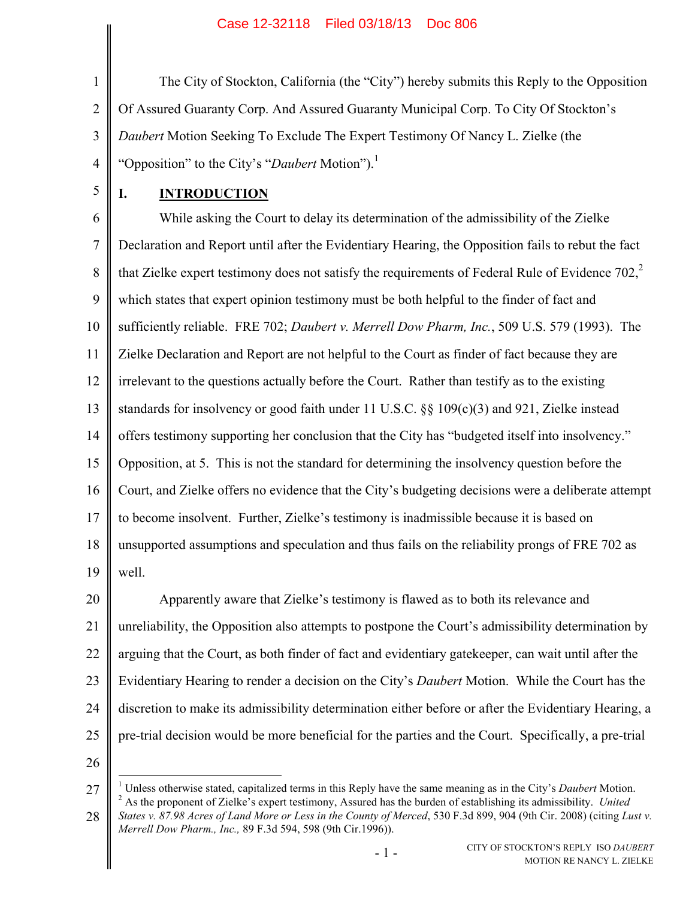1 2 3 4 The City of Stockton, California (the "City") hereby submits this Reply to the Opposition Of Assured Guaranty Corp. And Assured Guaranty Municipal Corp. To City Of Stockton's *Daubert* Motion Seeking To Exclude The Expert Testimony Of Nancy L. Zielke (the "Opposition" to the City's "*Daubert* Motion").<sup>1</sup>

5

# <span id="page-5-3"></span><span id="page-5-0"></span>**I. INTRODUCTION**

6 7 8 9 10 11 12 13 14 15 16 17 18 19 While asking the Court to delay its determination of the admissibility of the Zielke Declaration and Report until after the Evidentiary Hearing, the Opposition fails to rebut the fact that Zielke expert testimony does not satisfy the requirements of Federal Rule of Evidence 702, $\frac{2}{3}$ which states that expert opinion testimony must be both helpful to the finder of fact and sufficiently reliable. FRE 702; *Daubert v. Merrell Dow Pharm, Inc.*, 509 U.S. 579 (1993). The Zielke Declaration and Report are not helpful to the Court as finder of fact because they are irrelevant to the questions actually before the Court. Rather than testify as to the existing standards for insolvency or good faith under 11 U.S.C. §§ 109(c)(3) and 921, Zielke instead offers testimony supporting her conclusion that the City has "budgeted itself into insolvency." Opposition, at 5. This is not the standard for determining the insolvency question before the Court, and Zielke offers no evidence that the City's budgeting decisions were a deliberate attempt to become insolvent. Further, Zielke's testimony is inadmissible because it is based on unsupported assumptions and speculation and thus fails on the reliability prongs of FRE 702 as well.

20 21 22 23 24 25 Apparently aware that Zielke's testimony is flawed as to both its relevance and unreliability, the Opposition also attempts to postpone the Court's admissibility determination by arguing that the Court, as both finder of fact and evidentiary gatekeeper, can wait until after the Evidentiary Hearing to render a decision on the City's *Daubert* Motion. While the Court has the discretion to make its admissibility determination either before or after the Evidentiary Hearing, a pre-trial decision would be more beneficial for the parties and the Court. Specifically, a pre-trial

26

<sup>27</sup>  $\overline{a}$ <sup>1</sup> Unless otherwise stated, capitalized terms in this Reply have the same meaning as in the City's *Daubert* Motion. <sup>2</sup> As the proponent of Zielke's expert testimony, Assured has the burden of establishing its admissibility. *United* 

<span id="page-5-2"></span><span id="page-5-1"></span><sup>28</sup> *States v. 87.98 Acres of Land More or Less in the County of Merced*, 530 F.3d 899, 904 (9th Cir. 2008) (citing *Lust v. Merrell Dow Pharm., Inc.,* 89 F.3d 594, 598 (9th Cir.1996)).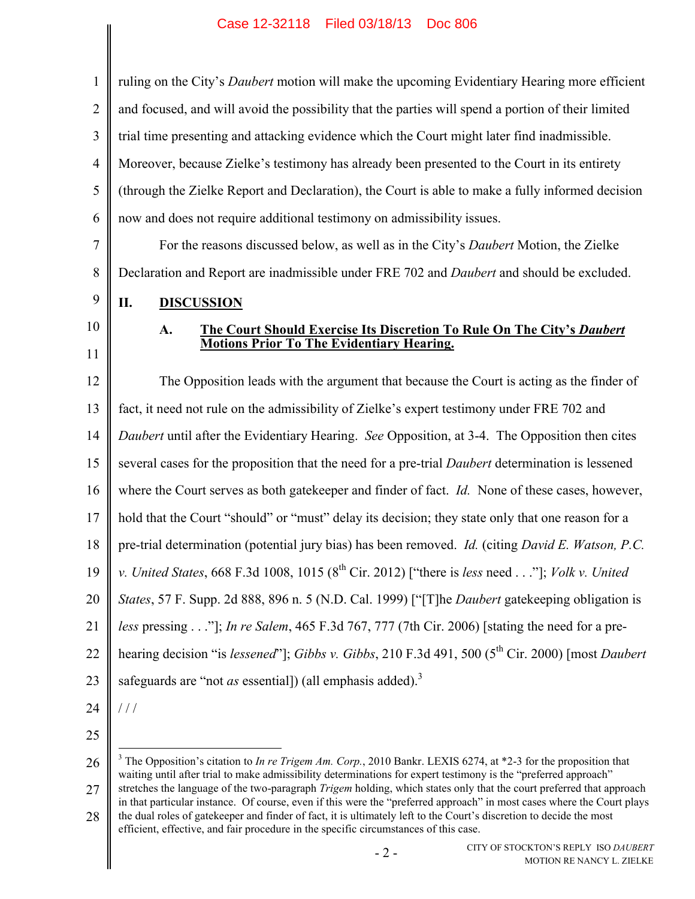| $\mathbf{1}$   | ruling on the City's <i>Daubert</i> motion will make the upcoming Evidentiary Hearing more efficient                                                                                                                                                     |
|----------------|----------------------------------------------------------------------------------------------------------------------------------------------------------------------------------------------------------------------------------------------------------|
| $\overline{2}$ | and focused, and will avoid the possibility that the parties will spend a portion of their limited                                                                                                                                                       |
| 3              | trial time presenting and attacking evidence which the Court might later find inadmissible.                                                                                                                                                              |
| $\overline{4}$ | Moreover, because Zielke's testimony has already been presented to the Court in its entirety                                                                                                                                                             |
| 5              | (through the Zielke Report and Declaration), the Court is able to make a fully informed decision                                                                                                                                                         |
| 6              | now and does not require additional testimony on admissibility issues.                                                                                                                                                                                   |
| $\overline{7}$ | For the reasons discussed below, as well as in the City's <i>Daubert</i> Motion, the Zielke                                                                                                                                                              |
| 8              | Declaration and Report are inadmissible under FRE 702 and <i>Daubert</i> and should be excluded.                                                                                                                                                         |
| 9              | II.<br><b>DISCUSSION</b>                                                                                                                                                                                                                                 |
| 10             | The Court Should Exercise Its Discretion To Rule On The City's Daubert<br>A.                                                                                                                                                                             |
| 11             | <b>Motions Prior To The Evidentiary Hearing.</b>                                                                                                                                                                                                         |
| 12             | The Opposition leads with the argument that because the Court is acting as the finder of                                                                                                                                                                 |
| 13             | fact, it need not rule on the admissibility of Zielke's expert testimony under FRE 702 and                                                                                                                                                               |
| 14             | Daubert until after the Evidentiary Hearing. See Opposition, at 3-4. The Opposition then cites                                                                                                                                                           |
| 15             | several cases for the proposition that the need for a pre-trial <i>Daubert</i> determination is lessened                                                                                                                                                 |
| 16             | where the Court serves as both gatekeeper and finder of fact. <i>Id.</i> None of these cases, however,                                                                                                                                                   |
| 17             | hold that the Court "should" or "must" delay its decision; they state only that one reason for a                                                                                                                                                         |
| 18             | pre-trial determination (potential jury bias) has been removed. <i>Id.</i> (citing <i>David E. Watson, P.C.</i>                                                                                                                                          |
| 19             | v. United States, 668 F.3d 1008, 1015 ( $8^{th}$ Cir. 2012) ["there is less need"]; Volk v. United                                                                                                                                                       |
| 20             | States, 57 F. Supp. 2d 888, 896 n. 5 (N.D. Cal. 1999) ["[T]he Daubert gatekeeping obligation is                                                                                                                                                          |
| 21             | less pressing"]; In re Salem, 465 F.3d 767, 777 (7th Cir. 2006) [stating the need for a pre-                                                                                                                                                             |
| 22             | hearing decision "is lessened"]; Gibbs v. Gibbs, 210 F.3d 491, 500 (5 <sup>th</sup> Cir. 2000) [most Daubert                                                                                                                                             |
| 23             | safeguards are "not as essential]) (all emphasis added). <sup>3</sup>                                                                                                                                                                                    |
| 24             | 111                                                                                                                                                                                                                                                      |
| 25             |                                                                                                                                                                                                                                                          |
| 26             | <sup>3</sup> The Opposition's citation to <i>In re Trigem Am. Corp.</i> , 2010 Bankr. LEXIS 6274, at $*2$ -3 for the proposition that<br>waiting until after trial to make admissibility determinations for expert testimony is the "preferred approach" |

<span id="page-6-4"></span><span id="page-6-3"></span><span id="page-6-2"></span><span id="page-6-1"></span><span id="page-6-0"></span>27 28 stretches the language of the two-paragraph *Trigem* holding, which states only that the court preferred that approach in that particular instance. Of course, even if this were the "preferred approach" in most cases where the Court plays the dual roles of gatekeeper and finder of fact, it is ultimately left to the Court's discretion to decide the most efficient, effective, and fair procedure in the specific circumstances of this case.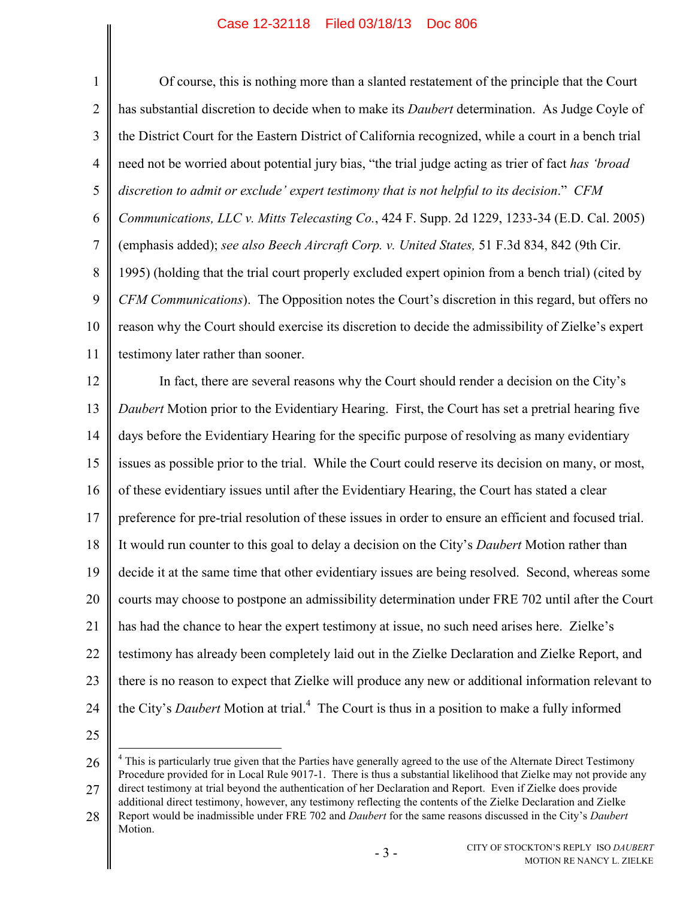<span id="page-7-1"></span><span id="page-7-0"></span>1 2 3 4 5 6 7 8 9 10 11 12 13 14 15 16 17 18 19 20 21 22 23 24 25 Of course, this is nothing more than a slanted restatement of the principle that the Court has substantial discretion to decide when to make its *Daubert* determination. As Judge Coyle of the District Court for the Eastern District of California recognized, while a court in a bench trial need not be worried about potential jury bias, "the trial judge acting as trier of fact *has 'broad discretion to admit or exclude' expert testimony that is not helpful to its decision*." *CFM Communications, LLC v. Mitts Telecasting Co.*, 424 F. Supp. 2d 1229, 1233-34 (E.D. Cal. 2005) (emphasis added); *see also Beech Aircraft Corp. v. United States,* 51 F.3d 834, 842 (9th Cir. 1995) (holding that the trial court properly excluded expert opinion from a bench trial) (cited by *CFM Communications*). The Opposition notes the Court's discretion in this regard, but offers no reason why the Court should exercise its discretion to decide the admissibility of Zielke's expert testimony later rather than sooner. In fact, there are several reasons why the Court should render a decision on the City's *Daubert* Motion prior to the Evidentiary Hearing. First, the Court has set a pretrial hearing five days before the Evidentiary Hearing for the specific purpose of resolving as many evidentiary issues as possible prior to the trial. While the Court could reserve its decision on many, or most, of these evidentiary issues until after the Evidentiary Hearing, the Court has stated a clear preference for pre-trial resolution of these issues in order to ensure an efficient and focused trial. It would run counter to this goal to delay a decision on the City's *Daubert* Motion rather than decide it at the same time that other evidentiary issues are being resolved. Second, whereas some courts may choose to postpone an admissibility determination under FRE 702 until after the Court has had the chance to hear the expert testimony at issue, no such need arises here. Zielke's testimony has already been completely laid out in the Zielke Declaration and Zielke Report, and there is no reason to expect that Zielke will produce any new or additional information relevant to the City's *Daubert* Motion at trial.<sup>4</sup> The Court is thus in a position to make a fully informed

<span id="page-7-2"></span> $\overline{a}$ 

<sup>26</sup> 27 <sup>4</sup> This is particularly true given that the Parties have generally agreed to the use of the Alternate Direct Testimony Procedure provided for in Local Rule 9017-1. There is thus a substantial likelihood that Zielke may not provide any direct testimony at trial beyond the authentication of her Declaration and Report. Even if Zielke does provide

<sup>28</sup> additional direct testimony, however, any testimony reflecting the contents of the Zielke Declaration and Zielke Report would be inadmissible under FRE 702 and *Daubert* for the same reasons discussed in the City's *Daubert* Motion.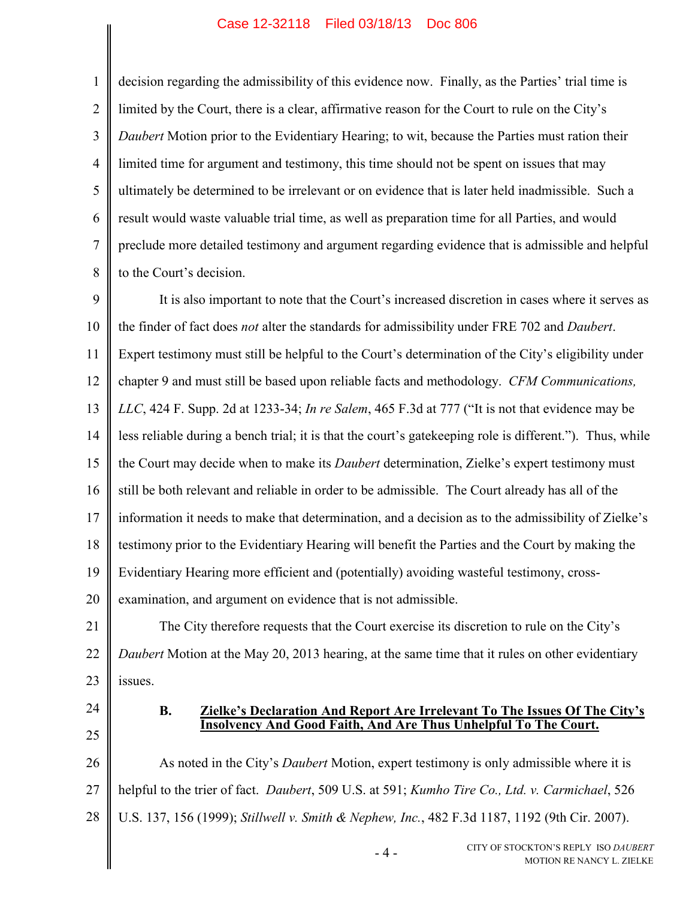2 3 4 5 6 7 8 decision regarding the admissibility of this evidence now. Finally, as the Parties' trial time is limited by the Court, there is a clear, affirmative reason for the Court to rule on the City's *Daubert* Motion prior to the Evidentiary Hearing; to wit, because the Parties must ration their limited time for argument and testimony, this time should not be spent on issues that may ultimately be determined to be irrelevant or on evidence that is later held inadmissible. Such a result would waste valuable trial time, as well as preparation time for all Parties, and would preclude more detailed testimony and argument regarding evidence that is admissible and helpful to the Court's decision.

<span id="page-8-2"></span><span id="page-8-0"></span>9 10 11 12 13 14 15 16 17 18 19 20 It is also important to note that the Court's increased discretion in cases where it serves as the finder of fact does *not* alter the standards for admissibility under FRE 702 and *Daubert*. Expert testimony must still be helpful to the Court's determination of the City's eligibility under chapter 9 and must still be based upon reliable facts and methodology. *CFM Communications, LLC*, 424 F. Supp. 2d at 1233-34; *In re Salem*, 465 F.3d at 777 ("It is not that evidence may be less reliable during a bench trial; it is that the court's gatekeeping role is different."). Thus, while the Court may decide when to make its *Daubert* determination, Zielke's expert testimony must still be both relevant and reliable in order to be admissible. The Court already has all of the information it needs to make that determination, and a decision as to the admissibility of Zielke's testimony prior to the Evidentiary Hearing will benefit the Parties and the Court by making the Evidentiary Hearing more efficient and (potentially) avoiding wasteful testimony, crossexamination, and argument on evidence that is not admissible.

21 22 23 The City therefore requests that the Court exercise its discretion to rule on the City's *Daubert* Motion at the May 20, 2013 hearing, at the same time that it rules on other evidentiary issues.

24 25

1

#### <span id="page-8-4"></span>**B. Zielke's Declaration And Report Are Irrelevant To The Issues Of The City's Insolvency And Good Faith, And Are Thus Unhelpful To The Court.**

26 27 28 As noted in the City's *Daubert* Motion, expert testimony is only admissible where it is helpful to the trier of fact. *Daubert*, 509 U.S. at 591; *Kumho Tire Co., Ltd. v. Carmichael*, 526 U.S. 137, 156 (1999); *Stillwell v. Smith & Nephew, Inc.*, 482 F.3d 1187, 1192 (9th Cir. 2007).

<span id="page-8-3"></span><span id="page-8-1"></span> $-4-$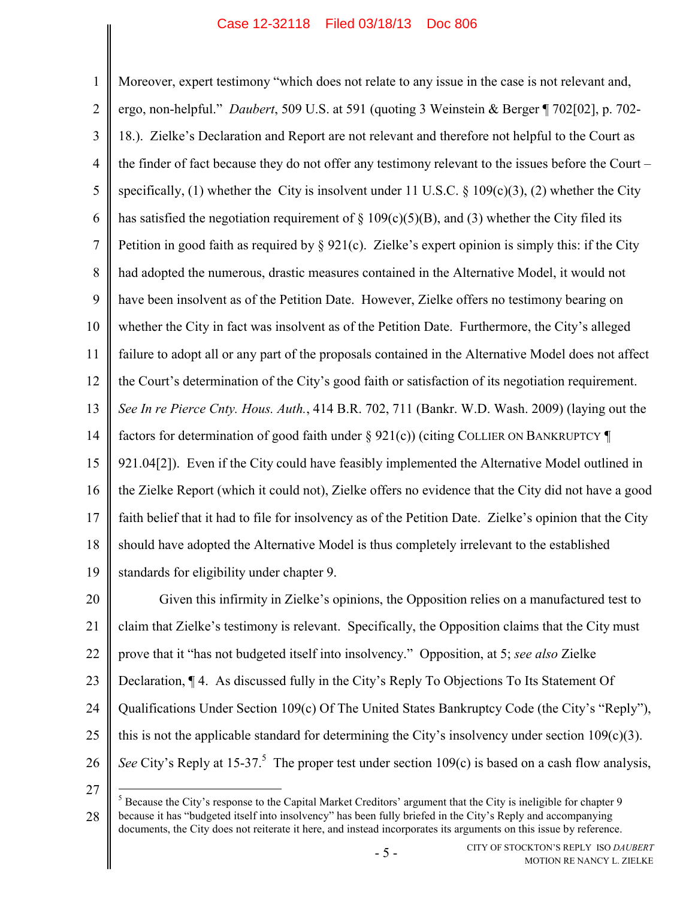<span id="page-9-4"></span><span id="page-9-0"></span>1 2 3 4 5 6 7 8 9 10 11 12 13 14 15 16 17 18 19 Moreover, expert testimony "which does not relate to any issue in the case is not relevant and, ergo, non-helpful." *Daubert*, 509 U.S. at 591 (quoting 3 Weinstein & Berger ¶ 702[02], p. 702- 18.). Zielke's Declaration and Report are not relevant and therefore not helpful to the Court as the finder of fact because they do not offer any testimony relevant to the issues before the Court – specifically, (1) whether the City is insolvent under 11 U.S.C.  $\S$  109(c)(3), (2) whether the City has satisfied the negotiation requirement of  $\S$  109(c)(5)(B), and (3) whether the City filed its Petition in good faith as required by  $\S 921(c)$ . Zielke's expert opinion is simply this: if the City had adopted the numerous, drastic measures contained in the Alternative Model, it would not have been insolvent as of the Petition Date. However, Zielke offers no testimony bearing on whether the City in fact was insolvent as of the Petition Date. Furthermore, the City's alleged failure to adopt all or any part of the proposals contained in the Alternative Model does not affect the Court's determination of the City's good faith or satisfaction of its negotiation requirement. *See In re Pierce Cnty. Hous. Auth.*, 414 B.R. 702, 711 (Bankr. W.D. Wash. 2009) (laying out the factors for determination of good faith under § 921(c)) (citing COLLIER ON BANKRUPTCY ¶ 921.04[2]). Even if the City could have feasibly implemented the Alternative Model outlined in the Zielke Report (which it could not), Zielke offers no evidence that the City did not have a good faith belief that it had to file for insolvency as of the Petition Date. Zielke's opinion that the City should have adopted the Alternative Model is thus completely irrelevant to the established standards for eligibility under chapter 9.

<span id="page-9-5"></span><span id="page-9-1"></span>20 21 22 23 24 25 26 Given this infirmity in Zielke's opinions, the Opposition relies on a manufactured test to claim that Zielke's testimony is relevant. Specifically, the Opposition claims that the City must prove that it "has not budgeted itself into insolvency." Opposition, at 5; *see also* Zielke Declaration, ¶ 4. As discussed fully in the City's Reply To Objections To Its Statement Of Qualifications Under Section 109(c) Of The United States Bankruptcy Code (the City's "Reply"), this is not the applicable standard for determining the City's insolvency under section  $109(c)(3)$ . See City's Reply at 15-37.<sup>5</sup> The proper test under section 109(c) is based on a cash flow analysis,

27

<span id="page-9-3"></span><span id="page-9-2"></span> $\overline{a}$ 

<sup>28</sup>  $<sup>5</sup>$  Because the City's response to the Capital Market Creditors' argument that the City is ineligible for chapter 9</sup> because it has "budgeted itself into insolvency" has been fully briefed in the City's Reply and accompanying documents, the City does not reiterate it here, and instead incorporates its arguments on this issue by reference.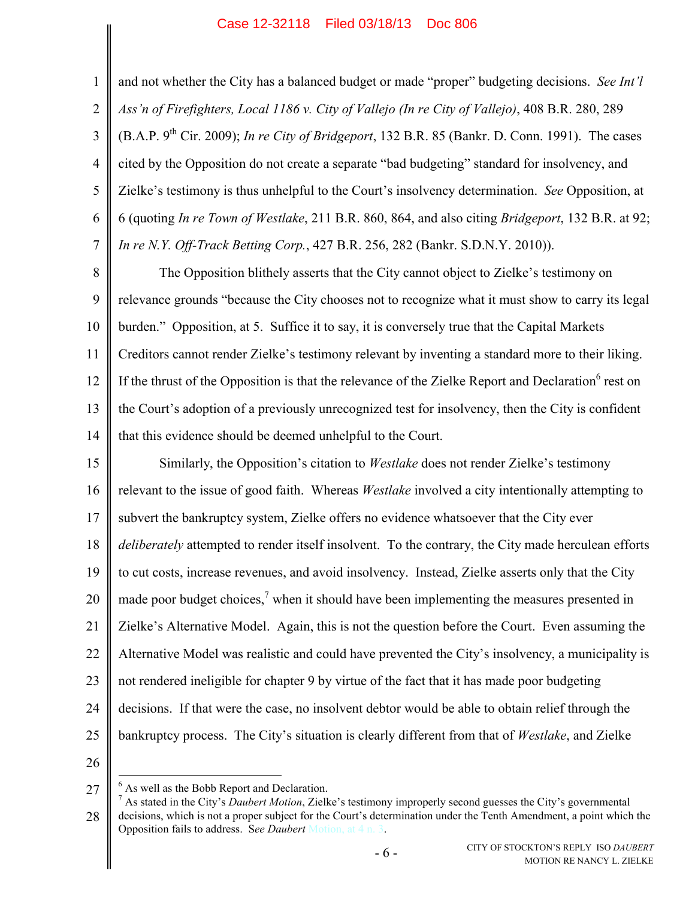<span id="page-10-3"></span>2 3 4 5 6 7 and not whether the City has a balanced budget or made "proper" budgeting decisions. *See Int'l Ass'n of Firefighters, Local 1186 v. City of Vallejo (In re City of Vallejo)*, 408 B.R. 280, 289 (B.A.P. 9th Cir. 2009); *In re City of Bridgeport*, 132 B.R. 85 (Bankr. D. Conn. 1991). The cases cited by the Opposition do not create a separate "bad budgeting" standard for insolvency, and Zielke's testimony is thus unhelpful to the Court's insolvency determination. *See* Opposition, at 6 (quoting *In re Town of Westlake*, 211 B.R. 860, 864, and also citing *Bridgeport*, 132 B.R. at 92; *In re N.Y. Off-Track Betting Corp.*, 427 B.R. 256, 282 (Bankr. S.D.N.Y. 2010)).

<span id="page-10-2"></span><span id="page-10-1"></span>8 9 10 11 12 13 14 The Opposition blithely asserts that the City cannot object to Zielke's testimony on relevance grounds "because the City chooses not to recognize what it must show to carry its legal burden." Opposition, at 5. Suffice it to say, it is conversely true that the Capital Markets Creditors cannot render Zielke's testimony relevant by inventing a standard more to their liking. If the thrust of the Opposition is that the relevance of the Zielke Report and Declaration $<sup>6</sup>$  rest on</sup> the Court's adoption of a previously unrecognized test for insolvency, then the City is confident that this evidence should be deemed unhelpful to the Court.

15 16 17 18 19 20 21 22 23 24 25 Similarly, the Opposition's citation to *Westlake* does not render Zielke's testimony relevant to the issue of good faith. Whereas *Westlake* involved a city intentionally attempting to subvert the bankruptcy system, Zielke offers no evidence whatsoever that the City ever *deliberately* attempted to render itself insolvent. To the contrary, the City made herculean efforts to cut costs, increase revenues, and avoid insolvency. Instead, Zielke asserts only that the City made poor budget choices,<sup>7</sup> when it should have been implementing the measures presented in Zielke's Alternative Model. Again, this is not the question before the Court. Even assuming the Alternative Model was realistic and could have prevented the City's insolvency, a municipality is not rendered ineligible for chapter 9 by virtue of the fact that it has made poor budgeting decisions. If that were the case, no insolvent debtor would be able to obtain relief through the bankruptcy process. The City's situation is clearly different from that of *Westlake*, and Zielke

26

<span id="page-10-0"></span>1

<sup>27</sup>  $\overline{a}$  $<sup>6</sup>$  As well as the Bobb Report and Declaration.</sup>

<sup>28</sup> <sup>7</sup> As stated in the City's *Daubert Motion*, Zielke's testimony improperly second guesses the City's governmental decisions, which is not a proper subject for the Court's determination under the Tenth Amendment, a point which the Opposition fails to address. S*ee Daubert* Motion, at 4 n. 3.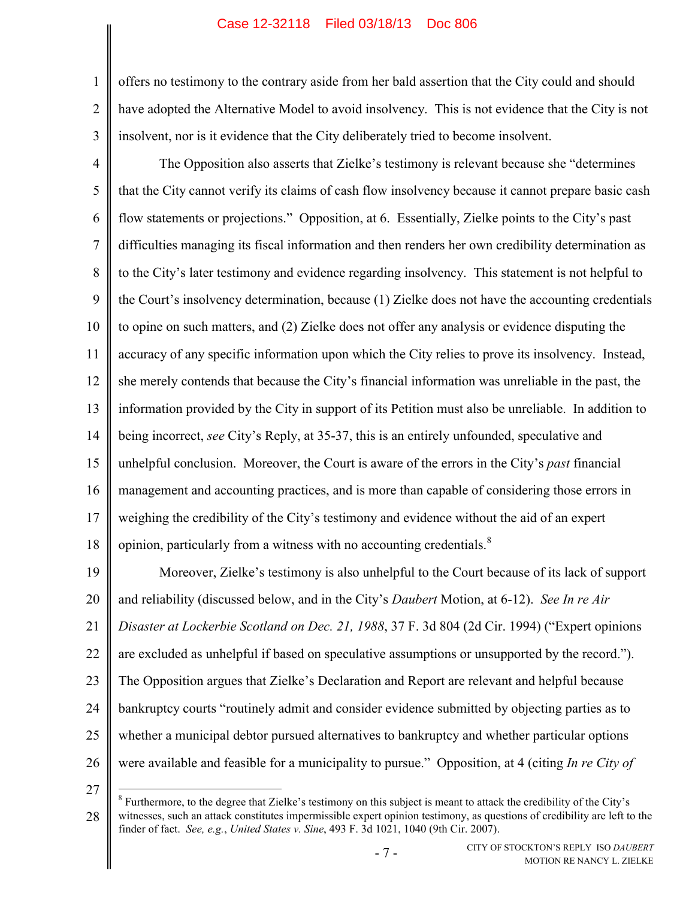1 2 3 offers no testimony to the contrary aside from her bald assertion that the City could and should have adopted the Alternative Model to avoid insolvency. This is not evidence that the City is not insolvent, nor is it evidence that the City deliberately tried to become insolvent.

4 5 6 7 8 9 10 11 12 13 14 15 16 17 18 The Opposition also asserts that Zielke's testimony is relevant because she "determines that the City cannot verify its claims of cash flow insolvency because it cannot prepare basic cash flow statements or projections." Opposition, at 6. Essentially, Zielke points to the City's past difficulties managing its fiscal information and then renders her own credibility determination as to the City's later testimony and evidence regarding insolvency. This statement is not helpful to the Court's insolvency determination, because (1) Zielke does not have the accounting credentials to opine on such matters, and (2) Zielke does not offer any analysis or evidence disputing the accuracy of any specific information upon which the City relies to prove its insolvency. Instead, she merely contends that because the City's financial information was unreliable in the past, the information provided by the City in support of its Petition must also be unreliable. In addition to being incorrect, *see* City's Reply, at 35-37, this is an entirely unfounded, speculative and unhelpful conclusion. Moreover, the Court is aware of the errors in the City's *past* financial management and accounting practices, and is more than capable of considering those errors in weighing the credibility of the City's testimony and evidence without the aid of an expert opinion, particularly from a witness with no accounting credentials. $8$ 

<span id="page-11-0"></span>19 20 21 22 23 24 25 26 Moreover, Zielke's testimony is also unhelpful to the Court because of its lack of support and reliability (discussed below, and in the City's *Daubert* Motion, at 6-12). *See In re Air Disaster at Lockerbie Scotland on Dec. 21, 1988*, 37 F. 3d 804 (2d Cir. 1994) ("Expert opinions are excluded as unhelpful if based on speculative assumptions or unsupported by the record."). The Opposition argues that Zielke's Declaration and Report are relevant and helpful because bankruptcy courts "routinely admit and consider evidence submitted by objecting parties as to whether a municipal debtor pursued alternatives to bankruptcy and whether particular options were available and feasible for a municipality to pursue." Opposition, at 4 (citing *In re City of* 

27

<span id="page-11-1"></span> $\overline{a}$ 

<sup>28</sup>  $8$  Furthermore, to the degree that Zielke's testimony on this subject is meant to attack the credibility of the City's witnesses, such an attack constitutes impermissible expert opinion testimony, as questions of credibility are left to the finder of fact. *See, e.g.*, *United States v. Sine*, 493 F. 3d 1021, 1040 (9th Cir. 2007).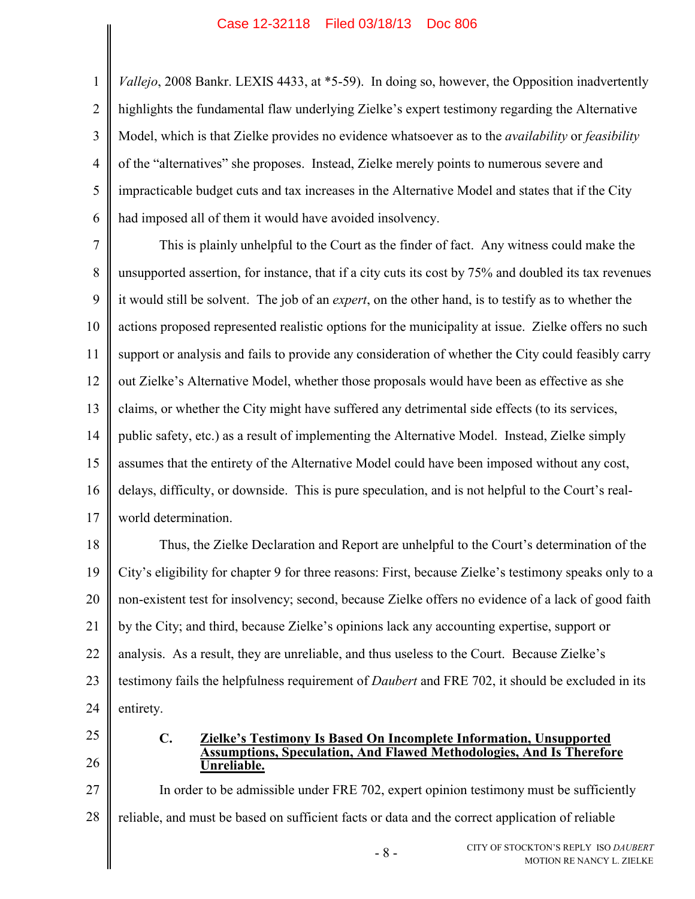1 2 3 4 5 6 *Vallejo*, 2008 Bankr. LEXIS 4433, at \*5-59). In doing so, however, the Opposition inadvertently highlights the fundamental flaw underlying Zielke's expert testimony regarding the Alternative Model, which is that Zielke provides no evidence whatsoever as to the *availability* or *feasibility* of the "alternatives" she proposes. Instead, Zielke merely points to numerous severe and impracticable budget cuts and tax increases in the Alternative Model and states that if the City had imposed all of them it would have avoided insolvency.

7 8 9 10 11 12 13 14 15 16 17 This is plainly unhelpful to the Court as the finder of fact. Any witness could make the unsupported assertion, for instance, that if a city cuts its cost by 75% and doubled its tax revenues it would still be solvent. The job of an *expert*, on the other hand, is to testify as to whether the actions proposed represented realistic options for the municipality at issue. Zielke offers no such support or analysis and fails to provide any consideration of whether the City could feasibly carry out Zielke's Alternative Model, whether those proposals would have been as effective as she claims, or whether the City might have suffered any detrimental side effects (to its services, public safety, etc.) as a result of implementing the Alternative Model. Instead, Zielke simply assumes that the entirety of the Alternative Model could have been imposed without any cost, delays, difficulty, or downside. This is pure speculation, and is not helpful to the Court's realworld determination.

18 19 20 21 22 23 24 Thus, the Zielke Declaration and Report are unhelpful to the Court's determination of the City's eligibility for chapter 9 for three reasons: First, because Zielke's testimony speaks only to a non-existent test for insolvency; second, because Zielke offers no evidence of a lack of good faith by the City; and third, because Zielke's opinions lack any accounting expertise, support or analysis. As a result, they are unreliable, and thus useless to the Court. Because Zielke's testimony fails the helpfulness requirement of *Daubert* and FRE 702, it should be excluded in its entirety.

25

26

#### <span id="page-12-0"></span>**C. Zielke's Testimony Is Based On Incomplete Information, Unsupported Assumptions, Speculation, And Flawed Methodologies, And Is Therefore Unreliable.**

27 28 In order to be admissible under FRE 702, expert opinion testimony must be sufficiently reliable, and must be based on sufficient facts or data and the correct application of reliable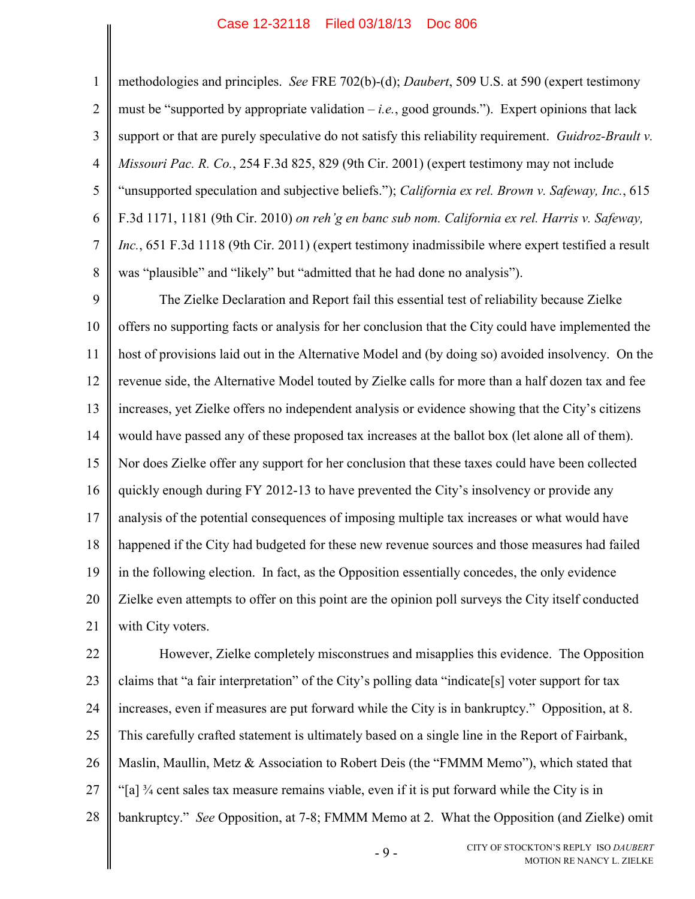1

<span id="page-13-0"></span>5

6

7

8

<span id="page-13-2"></span><span id="page-13-1"></span>methodologies and principles. *See* FRE 702(b)-(d); *Daubert*, 509 U.S. at 590 (expert testimony must be "supported by appropriate validation  $-i.e.,$  good grounds."). Expert opinions that lack support or that are purely speculative do not satisfy this reliability requirement. *Guidroz-Brault v. Missouri Pac. R. Co.*, 254 F.3d 825, 829 (9th Cir. 2001) (expert testimony may not include "unsupported speculation and subjective beliefs."); *California ex rel. Brown v. Safeway, Inc.*, 615 F.3d 1171, 1181 (9th Cir. 2010) *on reh'g en banc sub nom. California ex rel. Harris v. Safeway, Inc.*, 651 F.3d 1118 (9th Cir. 2011) (expert testimony inadmissibile where expert testified a result was "plausible" and "likely" but "admitted that he had done no analysis").

9 10 11 12 13 14 15 16 17 18 19 20 21 The Zielke Declaration and Report fail this essential test of reliability because Zielke offers no supporting facts or analysis for her conclusion that the City could have implemented the host of provisions laid out in the Alternative Model and (by doing so) avoided insolvency. On the revenue side, the Alternative Model touted by Zielke calls for more than a half dozen tax and fee increases, yet Zielke offers no independent analysis or evidence showing that the City's citizens would have passed any of these proposed tax increases at the ballot box (let alone all of them). Nor does Zielke offer any support for her conclusion that these taxes could have been collected quickly enough during FY 2012-13 to have prevented the City's insolvency or provide any analysis of the potential consequences of imposing multiple tax increases or what would have happened if the City had budgeted for these new revenue sources and those measures had failed in the following election. In fact, as the Opposition essentially concedes, the only evidence Zielke even attempts to offer on this point are the opinion poll surveys the City itself conducted with City voters.

22 23 24 25 26 27 28 However, Zielke completely misconstrues and misapplies this evidence. The Opposition claims that "a fair interpretation" of the City's polling data "indicate[s] voter support for tax increases, even if measures are put forward while the City is in bankruptcy." Opposition, at 8. This carefully crafted statement is ultimately based on a single line in the Report of Fairbank, Maslin, Maullin, Metz & Association to Robert Deis (the "FMMM Memo"), which stated that "[a] ¾ cent sales tax measure remains viable, even if it is put forward while the City is in bankruptcy." *See* Opposition, at 7-8; FMMM Memo at 2. What the Opposition (and Zielke) omit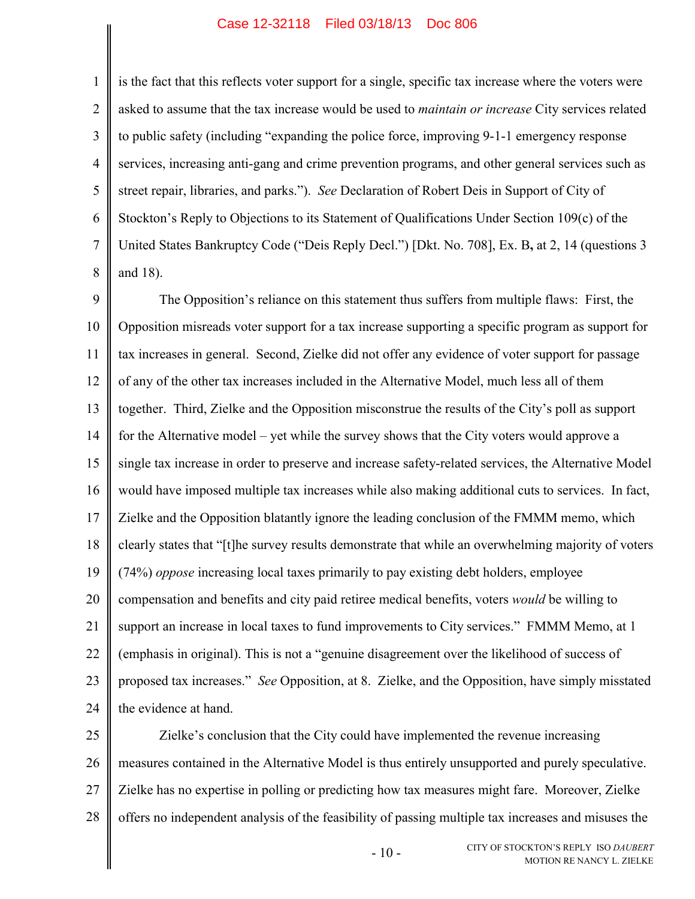is the fact that this reflects voter support for a single, specific tax increase where the voters were asked to assume that the tax increase would be used to *maintain or increase* City services related to public safety (including "expanding the police force, improving 9-1-1 emergency response

1

2

3

4

5

6

7

8

services, increasing anti-gang and crime prevention programs, and other general services such as street repair, libraries, and parks."). *See* Declaration of Robert Deis in Support of City of Stockton's Reply to Objections to its Statement of Qualifications Under Section 109(c) of the United States Bankruptcy Code ("Deis Reply Decl.") [Dkt. No. 708], Ex. B**,** at 2, 14 (questions 3 and 18).

9 10 11 12 13 14 15 16 17 18 19 20 21 22 23 24 The Opposition's reliance on this statement thus suffers from multiple flaws: First, the Opposition misreads voter support for a tax increase supporting a specific program as support for tax increases in general. Second, Zielke did not offer any evidence of voter support for passage of any of the other tax increases included in the Alternative Model, much less all of them together. Third, Zielke and the Opposition misconstrue the results of the City's poll as support for the Alternative model – yet while the survey shows that the City voters would approve a single tax increase in order to preserve and increase safety-related services, the Alternative Model would have imposed multiple tax increases while also making additional cuts to services.In fact, Zielke and the Opposition blatantly ignore the leading conclusion of the FMMM memo, which clearly states that "[t]he survey results demonstrate that while an overwhelming majority of voters (74%) *oppose* increasing local taxes primarily to pay existing debt holders, employee compensation and benefits and city paid retiree medical benefits, voters *would* be willing to support an increase in local taxes to fund improvements to City services." FMMM Memo, at 1 (emphasis in original). This is not a "genuine disagreement over the likelihood of success of proposed tax increases." *See* Opposition, at 8. Zielke, and the Opposition, have simply misstated the evidence at hand.

25 26 27 28 Zielke's conclusion that the City could have implemented the revenue increasing measures contained in the Alternative Model is thus entirely unsupported and purely speculative. Zielke has no expertise in polling or predicting how tax measures might fare. Moreover, Zielke offers no independent analysis of the feasibility of passing multiple tax increases and misuses the

 $-10-$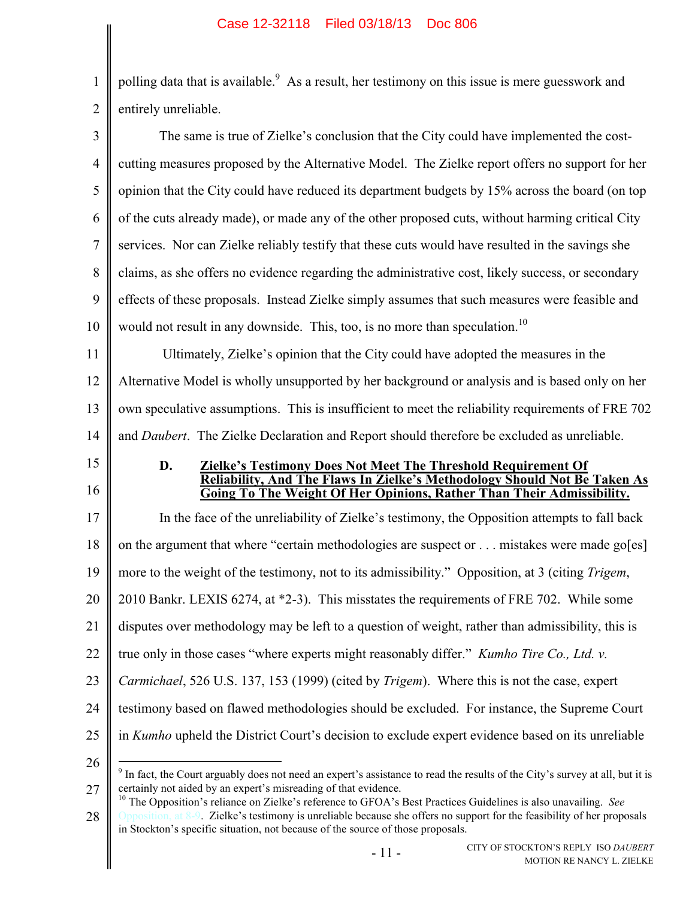1  $\overline{2}$ polling data that is available. As a result, her testimony on this issue is mere guesswork and entirely unreliable.

3 4 5 6 7 8 9 10 11 12 13 14 15 16 17 18 19 20 21 22 23 24 25 The same is true of Zielke's conclusion that the City could have implemented the costcutting measures proposed by the Alternative Model. The Zielke report offers no support for her opinion that the City could have reduced its department budgets by 15% across the board (on top of the cuts already made), or made any of the other proposed cuts, without harming critical City services. Nor can Zielke reliably testify that these cuts would have resulted in the savings she claims, as she offers no evidence regarding the administrative cost, likely success, or secondary effects of these proposals. Instead Zielke simply assumes that such measures were feasible and would not result in any downside. This, too, is no more than speculation.<sup>10</sup> Ultimately, Zielke's opinion that the City could have adopted the measures in the Alternative Model is wholly unsupported by her background or analysis and is based only on her own speculative assumptions. This is insufficient to meet the reliability requirements of FRE 702 and *Daubert*. The Zielke Declaration and Report should therefore be excluded as unreliable. **D. Zielke's Testimony Does Not Meet The Threshold Requirement Of Reliability, And The Flaws In Zielke's Methodology Should Not Be Taken As Going To The Weight Of Her Opinions, Rather Than Their Admissibility.**  In the face of the unreliability of Zielke's testimony, the Opposition attempts to fall back on the argument that where "certain methodologies are suspect or . . . mistakes were made go[es] more to the weight of the testimony, not to its admissibility." Opposition, at 3 (citing *Trigem*, 2010 Bankr. LEXIS 6274, at \*2-3). This misstates the requirements of FRE 702. While some disputes over methodology may be left to a question of weight, rather than admissibility, this is true only in those cases "where experts might reasonably differ." *Kumho Tire Co., Ltd. v. Carmichael*, 526 U.S. 137, 153 (1999) (cited by *Trigem*). Where this is not the case, expert testimony based on flawed methodologies should be excluded. For instance, the Supreme Court in *Kumho* upheld the District Court's decision to exclude expert evidence based on its unreliable

26

<span id="page-15-1"></span><span id="page-15-0"></span> $\overline{a}$ 

27

<sup>&</sup>lt;sup>9</sup> In fact, the Court arguably does not need an expert's assistance to read the results of the City's survey at all, but it is certainly not aided by an expert's misreading of that evidence.

<sup>28</sup> <sup>10</sup> The Opposition's reliance on Zielke's reference to GFOA's Best Practices Guidelines is also unavailing. *See* sition, at  $8-9$ . Zielke's testimony is unreliable because she offers no support for the feasibility of her proposals in Stockton's specific situation, not because of the source of those proposals.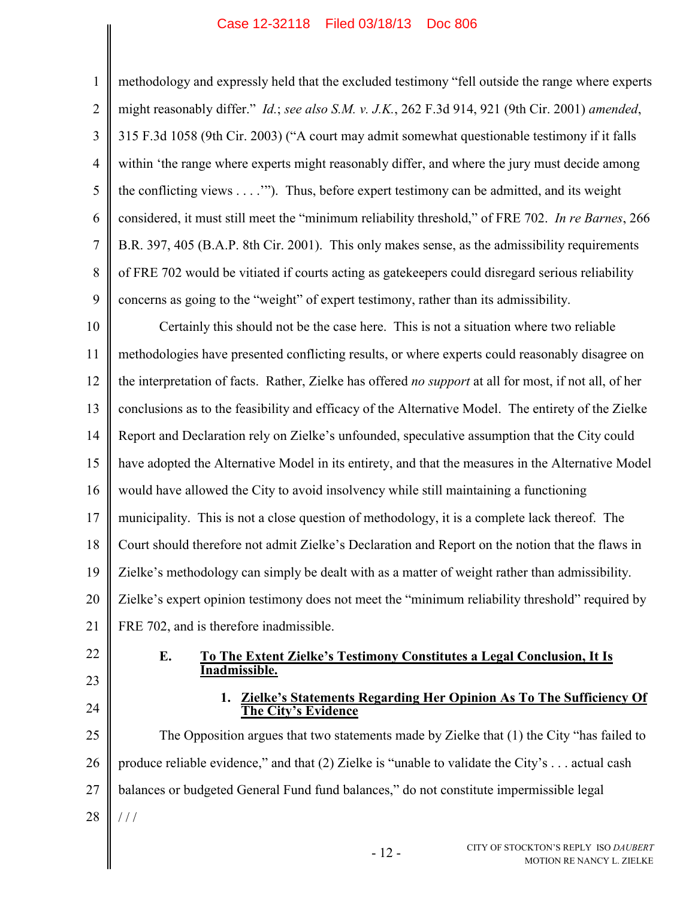<span id="page-16-2"></span><span id="page-16-1"></span><span id="page-16-0"></span>1 2 3 4 5 6 7 8 9 methodology and expressly held that the excluded testimony "fell outside the range where experts might reasonably differ." *Id.*; *see also S.M. v. J.K.*, 262 F.3d 914, 921 (9th Cir. 2001) *amended*, 315 F.3d 1058 (9th Cir. 2003) ("A court may admit somewhat questionable testimony if it falls within 'the range where experts might reasonably differ, and where the jury must decide among the conflicting views . . . .'"). Thus, before expert testimony can be admitted, and its weight considered, it must still meet the "minimum reliability threshold," of FRE 702. *In re Barnes*, 266 B.R. 397, 405 (B.A.P. 8th Cir. 2001). This only makes sense, as the admissibility requirements of FRE 702 would be vitiated if courts acting as gatekeepers could disregard serious reliability concerns as going to the "weight" of expert testimony, rather than its admissibility.

10 11 12 13 14 15 16 17 18 19 20 21 Certainly this should not be the case here. This is not a situation where two reliable methodologies have presented conflicting results, or where experts could reasonably disagree on the interpretation of facts. Rather, Zielke has offered *no support* at all for most, if not all, of her conclusions as to the feasibility and efficacy of the Alternative Model. The entirety of the Zielke Report and Declaration rely on Zielke's unfounded, speculative assumption that the City could have adopted the Alternative Model in its entirety, and that the measures in the Alternative Model would have allowed the City to avoid insolvency while still maintaining a functioning municipality. This is not a close question of methodology, it is a complete lack thereof. The Court should therefore not admit Zielke's Declaration and Report on the notion that the flaws in Zielke's methodology can simply be dealt with as a matter of weight rather than admissibility. Zielke's expert opinion testimony does not meet the "minimum reliability threshold" required by FRE 702, and is therefore inadmissible.

- 22
- 23
- 24

## **E. To The Extent Zielke's Testimony Constitutes a Legal Conclusion, It Is Inadmissible.**

**1. Zielke's Statements Regarding Her Opinion As To The Sufficiency Of The City's Evidence**

25 26 27 28 The Opposition argues that two statements made by Zielke that (1) the City "has failed to produce reliable evidence," and that (2) Zielke is "unable to validate the City's . . . actual cash balances or budgeted General Fund fund balances," do not constitute impermissible legal  $/$   $/$ 

- 12 -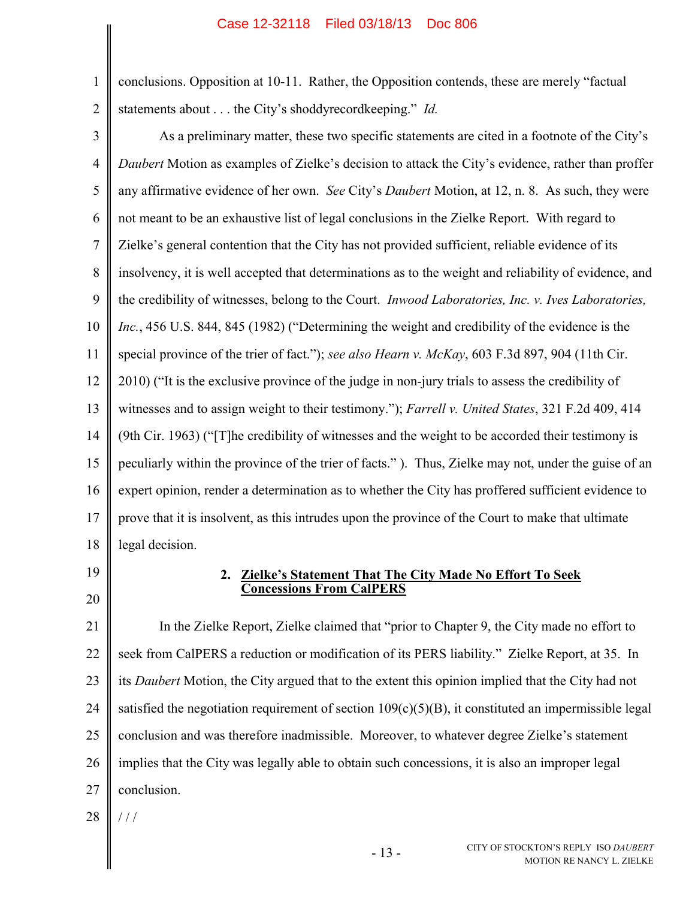1 2 conclusions. Opposition at 10-11. Rather, the Opposition contends, these are merely "factual statements about . . . the City's shoddyrecordkeeping." *Id.*

- 3 4 5 6 7 8 9 10 11 12 13 14 15 16 17 18 As a preliminary matter, these two specific statements are cited in a footnote of the City's *Daubert* Motion as examples of Zielke's decision to attack the City's evidence, rather than proffer any affirmative evidence of her own. *See* City's *Daubert* Motion, at 12, n. 8. As such, they were not meant to be an exhaustive list of legal conclusions in the Zielke Report. With regard to Zielke's general contention that the City has not provided sufficient, reliable evidence of its insolvency, it is well accepted that determinations as to the weight and reliability of evidence, and the credibility of witnesses, belong to the Court. *Inwood Laboratories, Inc. v. Ives Laboratories, Inc.*, 456 U.S. 844, 845 (1982) ("Determining the weight and credibility of the evidence is the special province of the trier of fact."); *see also Hearn v. McKay*, 603 F.3d 897, 904 (11th Cir. 2010) ("It is the exclusive province of the judge in non-jury trials to assess the credibility of witnesses and to assign weight to their testimony."); *Farrell v. United States*, 321 F.2d 409, 414 (9th Cir. 1963) ("[T]he credibility of witnesses and the weight to be accorded their testimony is peculiarly within the province of the trier of facts." ). Thus, Zielke may not, under the guise of an expert opinion, render a determination as to whether the City has proffered sufficient evidence to prove that it is insolvent, as this intrudes upon the province of the Court to make that ultimate legal decision.
- 19

20

# <span id="page-17-3"></span><span id="page-17-2"></span><span id="page-17-1"></span><span id="page-17-0"></span>**2. Zielke's Statement That The City Made No Effort To Seek Concessions From CalPERS**

21 22 23 24 25 26 27 In the Zielke Report, Zielke claimed that "prior to Chapter 9, the City made no effort to seek from CalPERS a reduction or modification of its PERS liability." Zielke Report, at 35. In its *Daubert* Motion, the City argued that to the extent this opinion implied that the City had not satisfied the negotiation requirement of section  $109(c)(5)(B)$ , it constituted an impermissible legal conclusion and was therefore inadmissible. Moreover, to whatever degree Zielke's statement implies that the City was legally able to obtain such concessions, it is also an improper legal conclusion.

28  $/$  /  $/$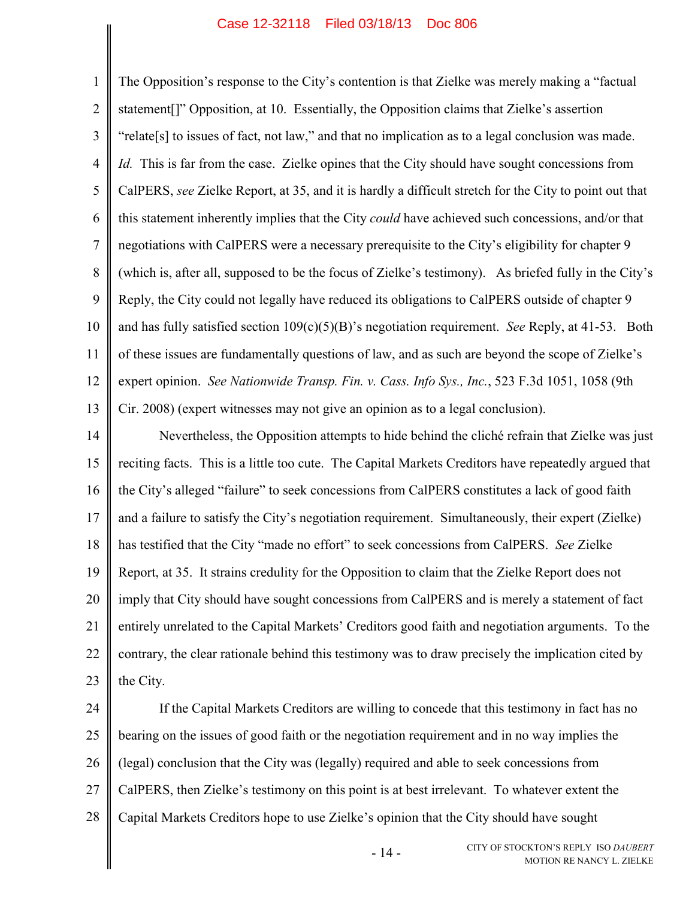1 2 3 4 5 6 7 8 9 10 11 12 13 The Opposition's response to the City's contention is that Zielke was merely making a "factual statement[]" Opposition, at 10. Essentially, the Opposition claims that Zielke's assertion "relate[s] to issues of fact, not law," and that no implication as to a legal conclusion was made. *Id.* This is far from the case. Zielke opines that the City should have sought concessions from CalPERS, *see* Zielke Report, at 35, and it is hardly a difficult stretch for the City to point out that this statement inherently implies that the City *could* have achieved such concessions, and/or that negotiations with CalPERS were a necessary prerequisite to the City's eligibility for chapter 9 (which is, after all, supposed to be the focus of Zielke's testimony). As briefed fully in the City's Reply, the City could not legally have reduced its obligations to CalPERS outside of chapter 9 and has fully satisfied section 109(c)(5)(B)'s negotiation requirement. *See* Reply, at 41-53. Both of these issues are fundamentally questions of law, and as such are beyond the scope of Zielke's expert opinion. *See Nationwide Transp. Fin. v. Cass. Info Sys., Inc.*, 523 F.3d 1051, 1058 (9th Cir. 2008) (expert witnesses may not give an opinion as to a legal conclusion).

<span id="page-18-0"></span>14 15 16 17 18 19 20 21 22 23 Nevertheless, the Opposition attempts to hide behind the cliché refrain that Zielke was just reciting facts. This is a little too cute. The Capital Markets Creditors have repeatedly argued that the City's alleged "failure" to seek concessions from CalPERS constitutes a lack of good faith and a failure to satisfy the City's negotiation requirement. Simultaneously, their expert (Zielke) has testified that the City "made no effort" to seek concessions from CalPERS. *See* Zielke Report, at 35. It strains credulity for the Opposition to claim that the Zielke Report does not imply that City should have sought concessions from CalPERS and is merely a statement of fact entirely unrelated to the Capital Markets' Creditors good faith and negotiation arguments. To the contrary, the clear rationale behind this testimony was to draw precisely the implication cited by the City.

24 25 26 27 28 If the Capital Markets Creditors are willing to concede that this testimony in fact has no bearing on the issues of good faith or the negotiation requirement and in no way implies the (legal) conclusion that the City was (legally) required and able to seek concessions from CalPERS, then Zielke's testimony on this point is at best irrelevant. To whatever extent the Capital Markets Creditors hope to use Zielke's opinion that the City should have sought

- 14 -